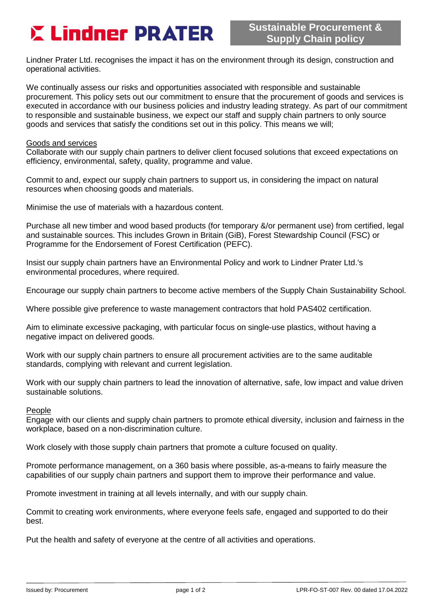# **E Lindner PRATER**

Lindner Prater Ltd. recognises the impact it has on the environment through its design, construction and operational activities.

We continually assess our risks and opportunities associated with responsible and sustainable procurement. This policy sets out our commitment to ensure that the procurement of goods and services is executed in accordance with our business policies and industry leading strategy. As part of our commitment to responsible and sustainable business, we expect our staff and supply chain partners to only source goods and services that satisfy the conditions set out in this policy. This means we will;

### Goods and services

Collaborate with our supply chain partners to deliver client focused solutions that exceed expectations on efficiency, environmental, safety, quality, programme and value.

Commit to and, expect our supply chain partners to support us, in considering the impact on natural resources when choosing goods and materials.

Minimise the use of materials with a hazardous content.

Purchase all new timber and wood based products (for temporary &/or permanent use) from certified, legal and sustainable sources. This includes Grown in Britain (GiB), Forest Stewardship Council (FSC) or Programme for the Endorsement of Forest Certification (PEFC).

Insist our supply chain partners have an Environmental Policy and work to Lindner Prater Ltd.'s environmental procedures, where required.

Encourage our supply chain partners to become active members of the Supply Chain Sustainability School.

Where possible give preference to waste management contractors that hold PAS402 certification.

Aim to eliminate excessive packaging, with particular focus on single-use plastics, without having a negative impact on delivered goods.

Work with our supply chain partners to ensure all procurement activities are to the same auditable standards, complying with relevant and current legislation.

Work with our supply chain partners to lead the innovation of alternative, safe, low impact and value driven sustainable solutions.

#### People

Engage with our clients and supply chain partners to promote ethical diversity, inclusion and fairness in the workplace, based on a non-discrimination culture.

Work closely with those supply chain partners that promote a culture focused on quality.

Promote performance management, on a 360 basis where possible, as-a-means to fairly measure the capabilities of our supply chain partners and support them to improve their performance and value.

Promote investment in training at all levels internally, and with our supply chain.

Commit to creating work environments, where everyone feels safe, engaged and supported to do their best.

Put the health and safety of everyone at the centre of all activities and operations.